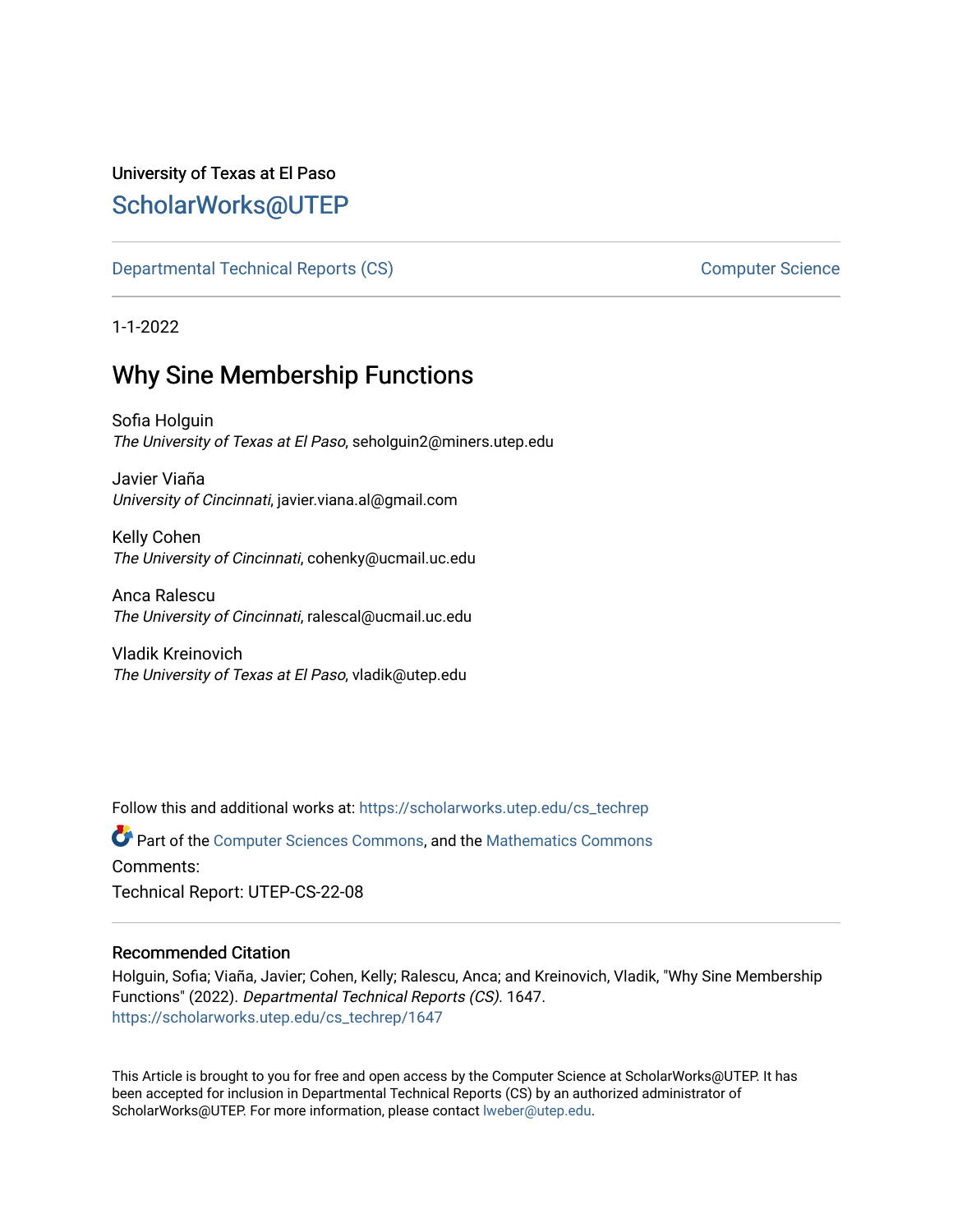# University of Texas at El Paso [ScholarWorks@UTEP](https://scholarworks.utep.edu/)

[Departmental Technical Reports \(CS\)](https://scholarworks.utep.edu/cs_techrep) [Computer Science](https://scholarworks.utep.edu/computer) 

1-1-2022

# Why Sine Membership Functions

Sofia Holguin The University of Texas at El Paso, seholguin2@miners.utep.edu

Javier Viaña University of Cincinnati, javier.viana.al@gmail.com

Kelly Cohen The University of Cincinnati, cohenky@ucmail.uc.edu

Anca Ralescu The University of Cincinnati, ralescal@ucmail.uc.edu

Vladik Kreinovich The University of Texas at El Paso, vladik@utep.edu

Follow this and additional works at: [https://scholarworks.utep.edu/cs\\_techrep](https://scholarworks.utep.edu/cs_techrep?utm_source=scholarworks.utep.edu%2Fcs_techrep%2F1647&utm_medium=PDF&utm_campaign=PDFCoverPages) 

Part of the [Computer Sciences Commons](http://network.bepress.com/hgg/discipline/142?utm_source=scholarworks.utep.edu%2Fcs_techrep%2F1647&utm_medium=PDF&utm_campaign=PDFCoverPages), and the [Mathematics Commons](http://network.bepress.com/hgg/discipline/174?utm_source=scholarworks.utep.edu%2Fcs_techrep%2F1647&utm_medium=PDF&utm_campaign=PDFCoverPages)  Comments:

Technical Report: UTEP-CS-22-08

## Recommended Citation

Holguin, Sofia; Viaña, Javier; Cohen, Kelly; Ralescu, Anca; and Kreinovich, Vladik, "Why Sine Membership Functions" (2022). Departmental Technical Reports (CS). 1647. [https://scholarworks.utep.edu/cs\\_techrep/1647](https://scholarworks.utep.edu/cs_techrep/1647?utm_source=scholarworks.utep.edu%2Fcs_techrep%2F1647&utm_medium=PDF&utm_campaign=PDFCoverPages) 

This Article is brought to you for free and open access by the Computer Science at ScholarWorks@UTEP. It has been accepted for inclusion in Departmental Technical Reports (CS) by an authorized administrator of ScholarWorks@UTEP. For more information, please contact [lweber@utep.edu](mailto:lweber@utep.edu).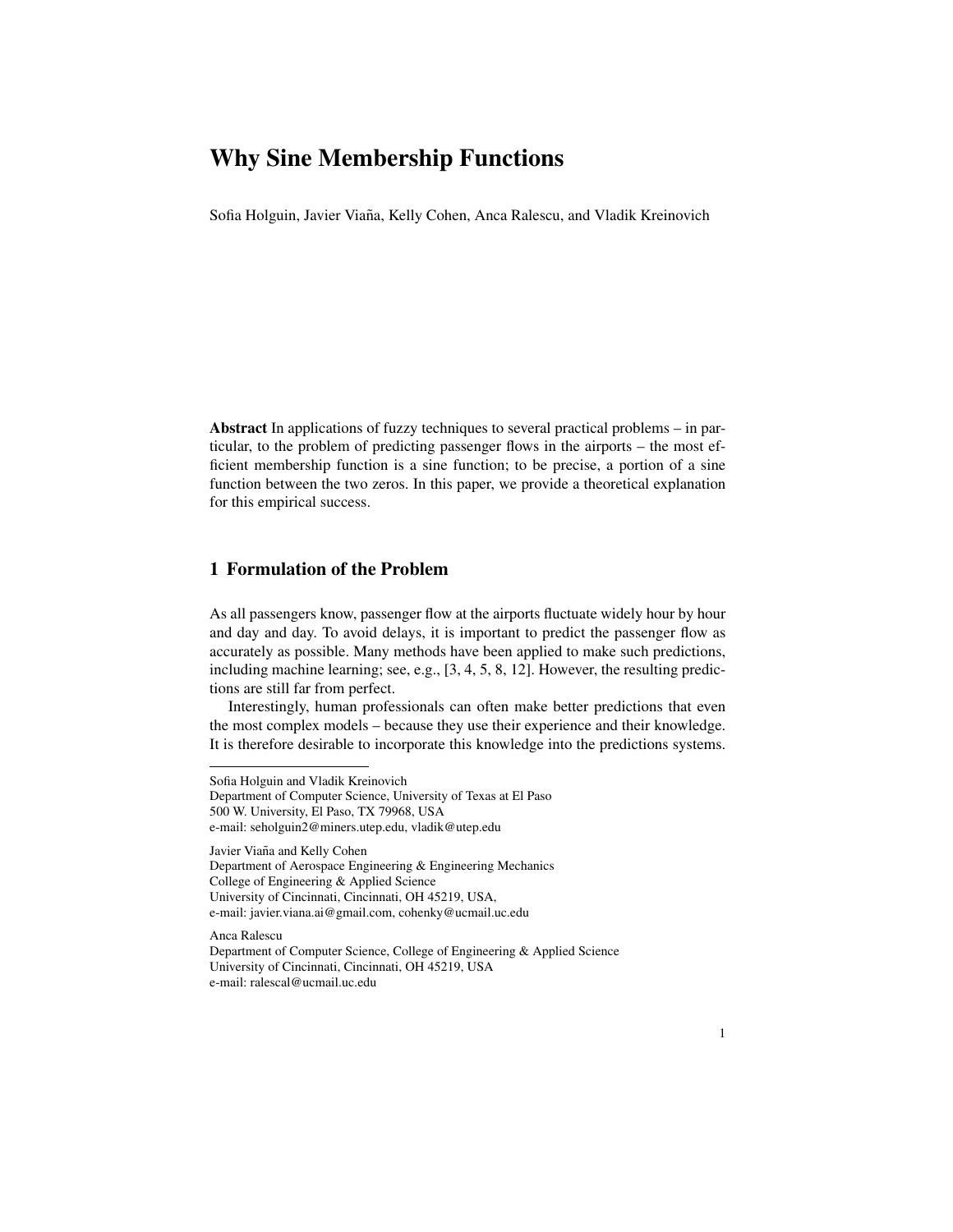Sofia Holguin, Javier Viaña, Kelly Cohen, Anca Ralescu, and Vladik Kreinovich

Abstract In applications of fuzzy techniques to several practical problems – in particular, to the problem of predicting passenger flows in the airports – the most efficient membership function is a sine function; to be precise, a portion of a sine function between the two zeros. In this paper, we provide a theoretical explanation for this empirical success.

## 1 Formulation of the Problem

As all passengers know, passenger flow at the airports fluctuate widely hour by hour and day and day. To avoid delays, it is important to predict the passenger flow as accurately as possible. Many methods have been applied to make such predictions, including machine learning; see, e.g., [3, 4, 5, 8, 12]. However, the resulting predictions are still far from perfect.

Interestingly, human professionals can often make better predictions that even the most complex models – because they use their experience and their knowledge. It is therefore desirable to incorporate this knowledge into the predictions systems.

Javier Viaña and Kelly Cohen Department of Aerospace Engineering & Engineering Mechanics College of Engineering & Applied Science University of Cincinnati, Cincinnati, OH 45219, USA, e-mail: javier.viana.ai@gmail.com, cohenky@ucmail.uc.edu

Anca Ralescu

Department of Computer Science, College of Engineering & Applied Science University of Cincinnati, Cincinnati, OH 45219, USA e-mail: ralescal@ucmail.uc.edu

Sofia Holguin and Vladik Kreinovich

Department of Computer Science, University of Texas at El Paso 500 W. University, El Paso, TX 79968, USA e-mail: seholguin2@miners.utep.edu, vladik@utep.edu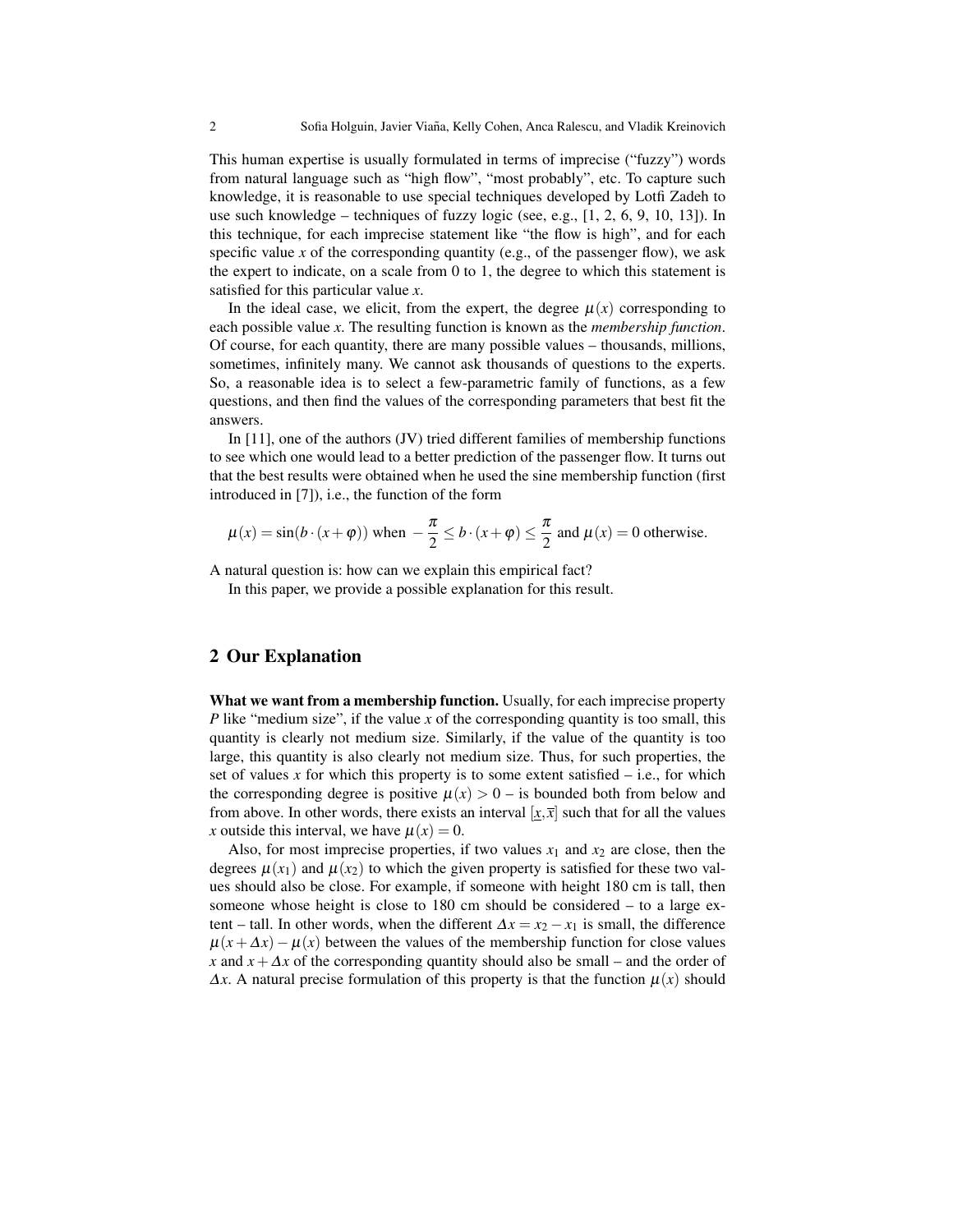This human expertise is usually formulated in terms of imprecise ("fuzzy") words from natural language such as "high flow", "most probably", etc. To capture such knowledge, it is reasonable to use special techniques developed by Lotfi Zadeh to use such knowledge – techniques of fuzzy logic (see, e.g.,  $[1, 2, 6, 9, 10, 13]$ ). In this technique, for each imprecise statement like "the flow is high", and for each specific value x of the corresponding quantity (e.g., of the passenger flow), we ask the expert to indicate, on a scale from 0 to 1, the degree to which this statement is satisfied for this particular value *x*.

In the ideal case, we elicit, from the expert, the degree  $\mu(x)$  corresponding to each possible value *x*. The resulting function is known as the *membership function*. Of course, for each quantity, there are many possible values – thousands, millions, sometimes, infinitely many. We cannot ask thousands of questions to the experts. So, a reasonable idea is to select a few-parametric family of functions, as a few questions, and then find the values of the corresponding parameters that best fit the answers.

In  $[11]$ , one of the authors  $JV$  tried different families of membership functions to see which one would lead to a better prediction of the passenger flow. It turns out that the best results were obtained when he used the sine membership function (first introduced in [7]), i.e., the function of the form

$$
\mu(x) = \sin(b \cdot (x + \varphi))
$$
 when  $-\frac{\pi}{2} \le b \cdot (x + \varphi) \le \frac{\pi}{2}$  and  $\mu(x) = 0$  otherwise.

A natural question is: how can we explain this empirical fact?

In this paper, we provide a possible explanation for this result.

#### 2 Our Explanation

What we want from a membership function. Usually, for each imprecise property *P* like "medium size", if the value *x* of the corresponding quantity is too small, this quantity is clearly not medium size. Similarly, if the value of the quantity is too large, this quantity is also clearly not medium size. Thus, for such properties, the set of values  $x$  for which this property is to some extent satisfied  $-$  i.e., for which the corresponding degree is positive  $\mu(x) > 0$  – is bounded both from below and from above. In other words, there exists an interval  $[x, \overline{x}]$  such that for all the values *x* outside this interval, we have  $\mu(x) = 0$ .

Also, for most imprecise properties, if two values  $x_1$  and  $x_2$  are close, then the degrees  $\mu(x_1)$  and  $\mu(x_2)$  to which the given property is satisfied for these two values should also be close. For example, if someone with height 180 cm is tall, then someone whose height is close to 180 cm should be considered – to a large extent – tall. In other words, when the different  $\Delta x = x_2 - x_1$  is small, the difference  $\mu(x + \Delta x) - \mu(x)$  between the values of the membership function for close values *x* and  $x + \Delta x$  of the corresponding quantity should also be small – and the order of  $\Delta x$ . A natural precise formulation of this property is that the function  $\mu(x)$  should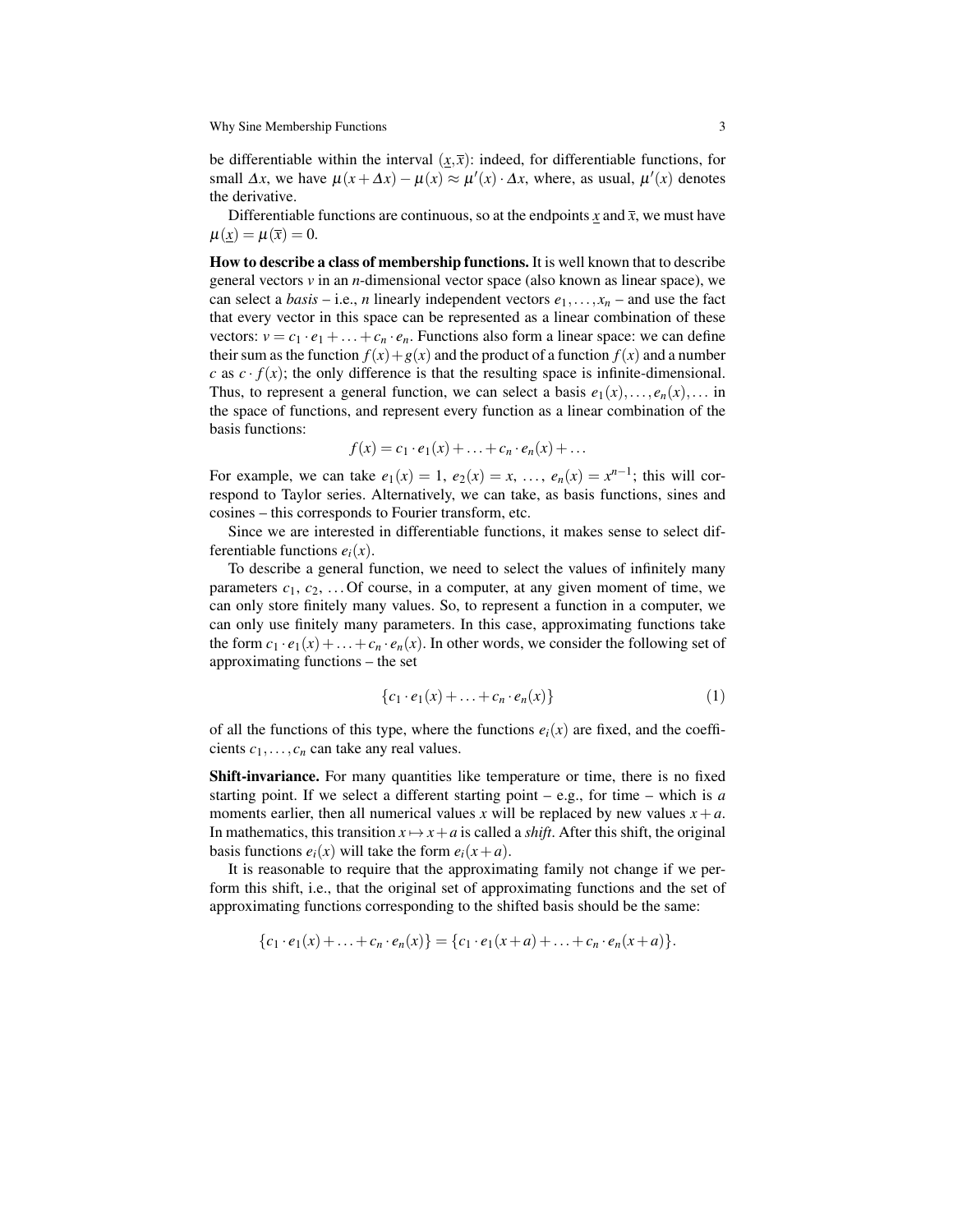be differentiable within the interval  $(x,\bar{x})$ : indeed, for differentiable functions, for small  $\Delta x$ , we have  $\mu(x + \Delta x) - \mu(x) \approx \mu'(x) \cdot \Delta x$ , where, as usual,  $\mu'(x)$  denotes the derivative.

Differentiable functions are continuous, so at the endpoints  $\underline{x}$  and  $\overline{x}$ , we must have  $\mu(x) = \mu(\bar{x}) = 0.$ 

How to describe a class of membership functions. It is well known that to describe general vectors *v* in an *n*-dimensional vector space (also known as linear space), we can select a *basis* – i.e., *n* linearly independent vectors  $e_1, \ldots, x_n$  – and use the fact that every vector in this space can be represented as a linear combination of these vectors:  $v = c_1 \cdot e_1 + \ldots + c_n \cdot e_n$ . Functions also form a linear space: we can define their sum as the function  $f(x) + g(x)$  and the product of a function  $f(x)$  and a number *c* as  $c \cdot f(x)$ ; the only difference is that the resulting space is infinite-dimensional. Thus, to represent a general function, we can select a basis  $e_1(x),...,e_n(x),...$  in the space of functions, and represent every function as a linear combination of the basis functions:

$$
f(x) = c_1 \cdot e_1(x) + \ldots + c_n \cdot e_n(x) + \ldots
$$

For example, we can take  $e_1(x) = 1$ ,  $e_2(x) = x$ , ...,  $e_n(x) = x^{n-1}$ ; this will correspond to Taylor series. Alternatively, we can take, as basis functions, sines and cosines – this corresponds to Fourier transform, etc.

Since we are interested in differentiable functions, it makes sense to select differentiable functions  $e_i(x)$ .

To describe a general function, we need to select the values of infinitely many parameters  $c_1, c_2, \ldots$  Of course, in a computer, at any given moment of time, we can only store finitely many values. So, to represent a function in a computer, we can only use finitely many parameters. In this case, approximating functions take the form  $c_1 \cdot e_1(x) + \ldots + c_n \cdot e_n(x)$ . In other words, we consider the following set of approximating functions – the set

$$
\{c_1 \cdot e_1(x) + \ldots + c_n \cdot e_n(x)\}\tag{1}
$$

of all the functions of this type, where the functions  $e_i(x)$  are fixed, and the coefficients  $c_1, \ldots, c_n$  can take any real values.

Shift-invariance. For many quantities like temperature or time, there is no fixed starting point. If we select a different starting point – e.g., for time – which is *a* moments earlier, then all numerical values x will be replaced by new values  $x + a$ . In mathematics, this transition  $x \mapsto x + a$  is called a *shift*. After this shift, the original basis functions  $e_i(x)$  will take the form  $e_i(x+a)$ .

It is reasonable to require that the approximating family not change if we perform this shift, i.e., that the original set of approximating functions and the set of approximating functions corresponding to the shifted basis should be the same:

$$
\{c_1 \cdot e_1(x) + \ldots + c_n \cdot e_n(x)\} = \{c_1 \cdot e_1(x+a) + \ldots + c_n \cdot e_n(x+a)\}.
$$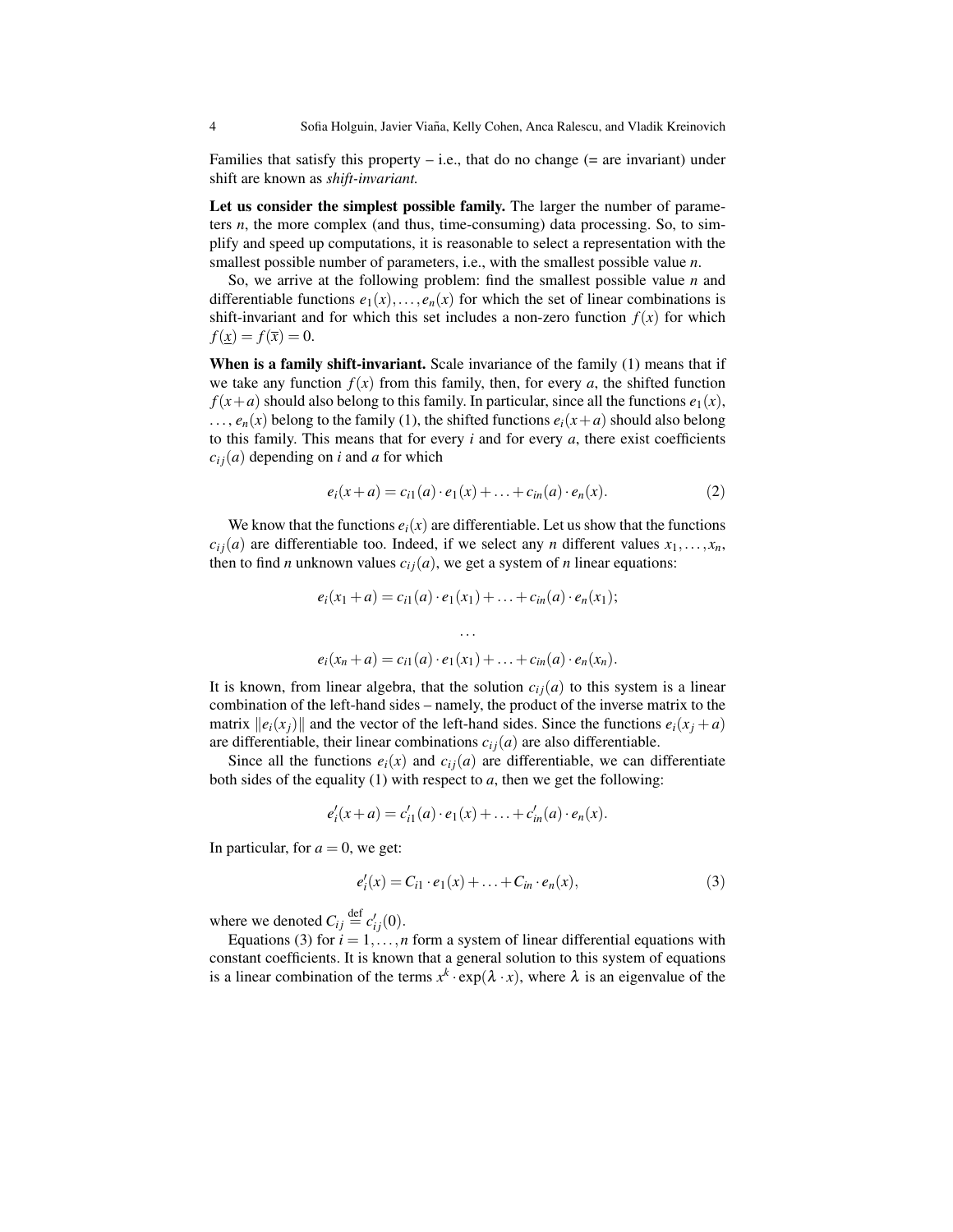Families that satisfy this property  $-$  i.e., that do no change ( $=$  are invariant) under shift are known as *shift-invariant.*

Let us consider the simplest possible family. The larger the number of parameters *n*, the more complex (and thus, time-consuming) data processing. So, to simplify and speed up computations, it is reasonable to select a representation with the smallest possible number of parameters, i.e., with the smallest possible value *n*.

So, we arrive at the following problem: find the smallest possible value *n* and differentiable functions  $e_1(x),...,e_n(x)$  for which the set of linear combinations is shift-invariant and for which this set includes a non-zero function  $f(x)$  for which  $f(x) = f(\bar{x}) = 0.$ 

When is a family shift-invariant. Scale invariance of the family (1) means that if we take any function  $f(x)$  from this family, then, for every *a*, the shifted function  $f(x+a)$  should also belong to this family. In particular, since all the functions  $e_1(x)$ ,  $\ldots$ ,  $e_n(x)$  belong to the family (1), the shifted functions  $e_i(x+a)$  should also belong to this family. This means that for every *i* and for every *a*, there exist coefficients  $c_{ij}(a)$  depending on *i* and *a* for which

$$
e_i(x+a) = c_{i1}(a) \cdot e_1(x) + \ldots + c_{in}(a) \cdot e_n(x). \tag{2}
$$

We know that the functions  $e_i(x)$  are differentiable. Let us show that the functions  $c_{ij}(a)$  are differentiable too. Indeed, if we select any *n* different values  $x_1, \ldots, x_n$ , then to find *n* unknown values  $c_{ij}(a)$ , we get a system of *n* linear equations:

$$
e_i(x_1 + a) = c_{i1}(a) \cdot e_1(x_1) + \ldots + c_{in}(a) \cdot e_n(x_1);
$$
  
...  

$$
e_i(x_n + a) = c_{i1}(a) \cdot e_1(x_1) + \ldots + c_{in}(a) \cdot e_n(x_n).
$$

It is known, from linear algebra, that the solution  $c_{ij}(a)$  to this system is a linear combination of the left-hand sides – namely, the product of the inverse matrix to the matrix  $||e_i(x_i)||$  and the vector of the left-hand sides. Since the functions  $e_i(x_i + a)$ are differentiable, their linear combinations  $c_{ij}(a)$  are also differentiable.

Since all the functions  $e_i(x)$  and  $c_{ij}(a)$  are differentiable, we can differentiate both sides of the equality (1) with respect to *a*, then we get the following:

$$
e'_{i}(x+a) = c'_{i1}(a) \cdot e_1(x) + \ldots + c'_{in}(a) \cdot e_n(x).
$$

In particular, for  $a = 0$ , we get:

$$
e'_{i}(x) = C_{i1} \cdot e_1(x) + \ldots + C_{in} \cdot e_n(x), \qquad (3)
$$

where we denoted  $C_{ij} \stackrel{\text{def}}{=} c'_{ij}(0)$ .

Equations (3) for  $i = 1, \ldots, n$  form a system of linear differential equations with constant coefficients. It is known that a general solution to this system of equations is a linear combination of the terms  $x^k \cdot \exp(\lambda \cdot x)$ , where  $\lambda$  is an eigenvalue of the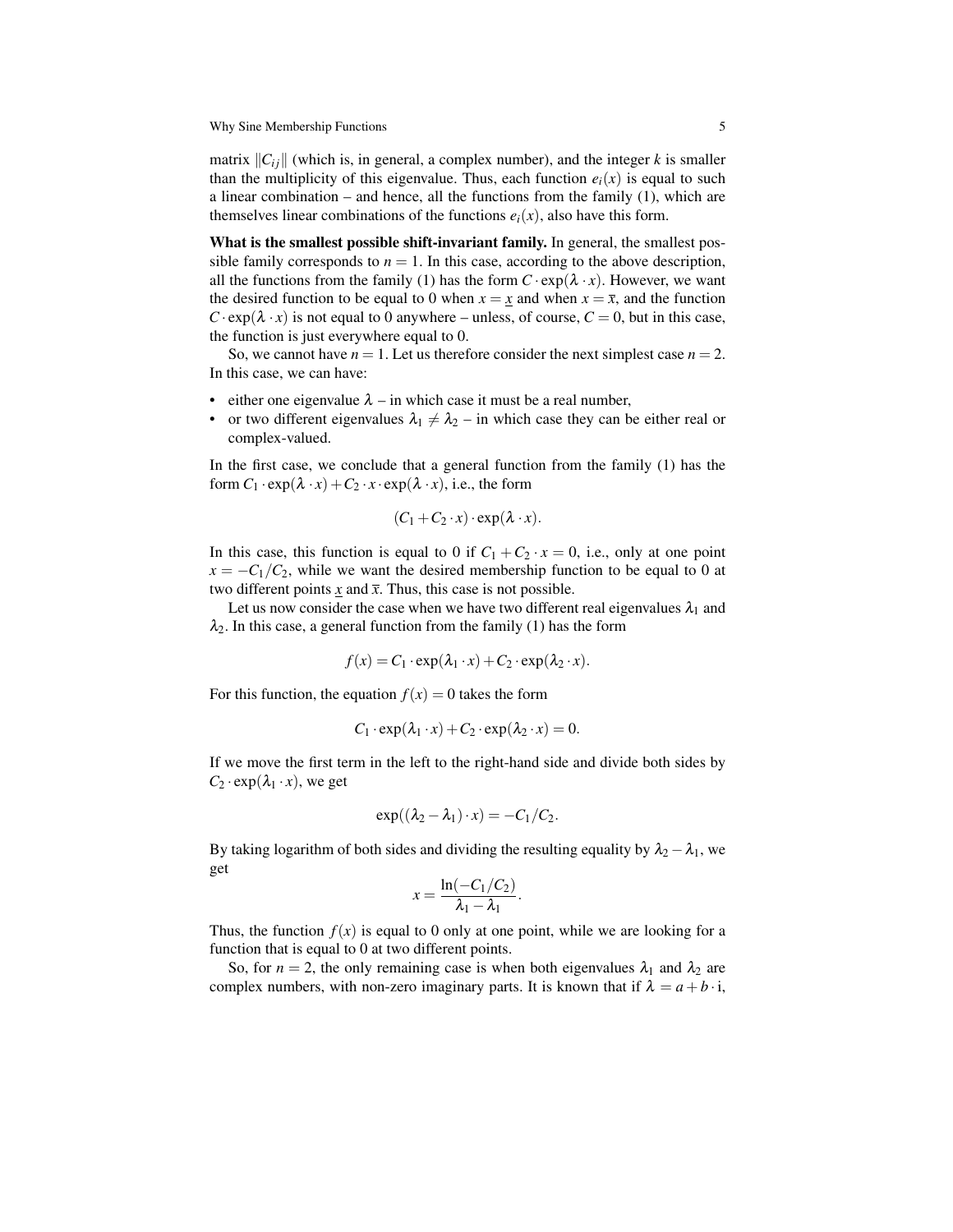matrix ∥*Ci j*∥ (which is, in general, a complex number), and the integer *k* is smaller than the multiplicity of this eigenvalue. Thus, each function  $e_i(x)$  is equal to such a linear combination – and hence, all the functions from the family  $(1)$ , which are themselves linear combinations of the functions  $e_i(x)$ , also have this form.

What is the smallest possible shift-invariant family. In general, the smallest possible family corresponds to  $n = 1$ . In this case, according to the above description, all the functions from the family (1) has the form  $C \cdot \exp(\lambda \cdot x)$ . However, we want the desired function to be equal to 0 when  $x = x$  and when  $x = \overline{x}$ , and the function  $C \cdot \exp(\lambda \cdot x)$  is not equal to 0 anywhere – unless, of course,  $C = 0$ , but in this case, the function is just everywhere equal to 0.

So, we cannot have  $n = 1$ . Let us therefore consider the next simplest case  $n = 2$ . In this case, we can have:

- either one eigenvalue  $\lambda$  in which case it must be a real number,
- or two different eigenvalues  $\lambda_1 \neq \lambda_2$  in which case they can be either real or complex-valued.

In the first case, we conclude that a general function from the family (1) has the form  $C_1 \cdot \exp(\lambda \cdot x) + C_2 \cdot x \cdot \exp(\lambda \cdot x)$ , i.e., the form

$$
(C_1 + C_2 \cdot x) \cdot \exp(\lambda \cdot x).
$$

In this case, this function is equal to 0 if  $C_1 + C_2 \cdot x = 0$ , i.e., only at one point  $x = -C_1/C_2$ , while we want the desired membership function to be equal to 0 at two different points *x* and  $\bar{x}$ . Thus, this case is not possible.

Let us now consider the case when we have two different real eigenvalues  $\lambda_1$  and  $\lambda_2$ . In this case, a general function from the family (1) has the form

$$
f(x) = C_1 \cdot \exp(\lambda_1 \cdot x) + C_2 \cdot \exp(\lambda_2 \cdot x).
$$

For this function, the equation  $f(x) = 0$  takes the form

$$
C_1 \cdot \exp(\lambda_1 \cdot x) + C_2 \cdot \exp(\lambda_2 \cdot x) = 0.
$$

If we move the first term in the left to the right-hand side and divide both sides by  $C_2 \cdot \exp(\lambda_1 \cdot x)$ , we get

$$
\exp((\lambda_2-\lambda_1)\cdot x)=-C_1/C_2.
$$

By taking logarithm of both sides and dividing the resulting equality by  $\lambda_2 - \lambda_1$ , we get

$$
x=\frac{\ln(-C_1/C_2)}{\lambda_1-\lambda_1}.
$$

Thus, the function  $f(x)$  is equal to 0 only at one point, while we are looking for a function that is equal to 0 at two different points.

So, for  $n = 2$ , the only remaining case is when both eigenvalues  $\lambda_1$  and  $\lambda_2$  are complex numbers, with non-zero imaginary parts. It is known that if  $\lambda = a + b \cdot i$ ,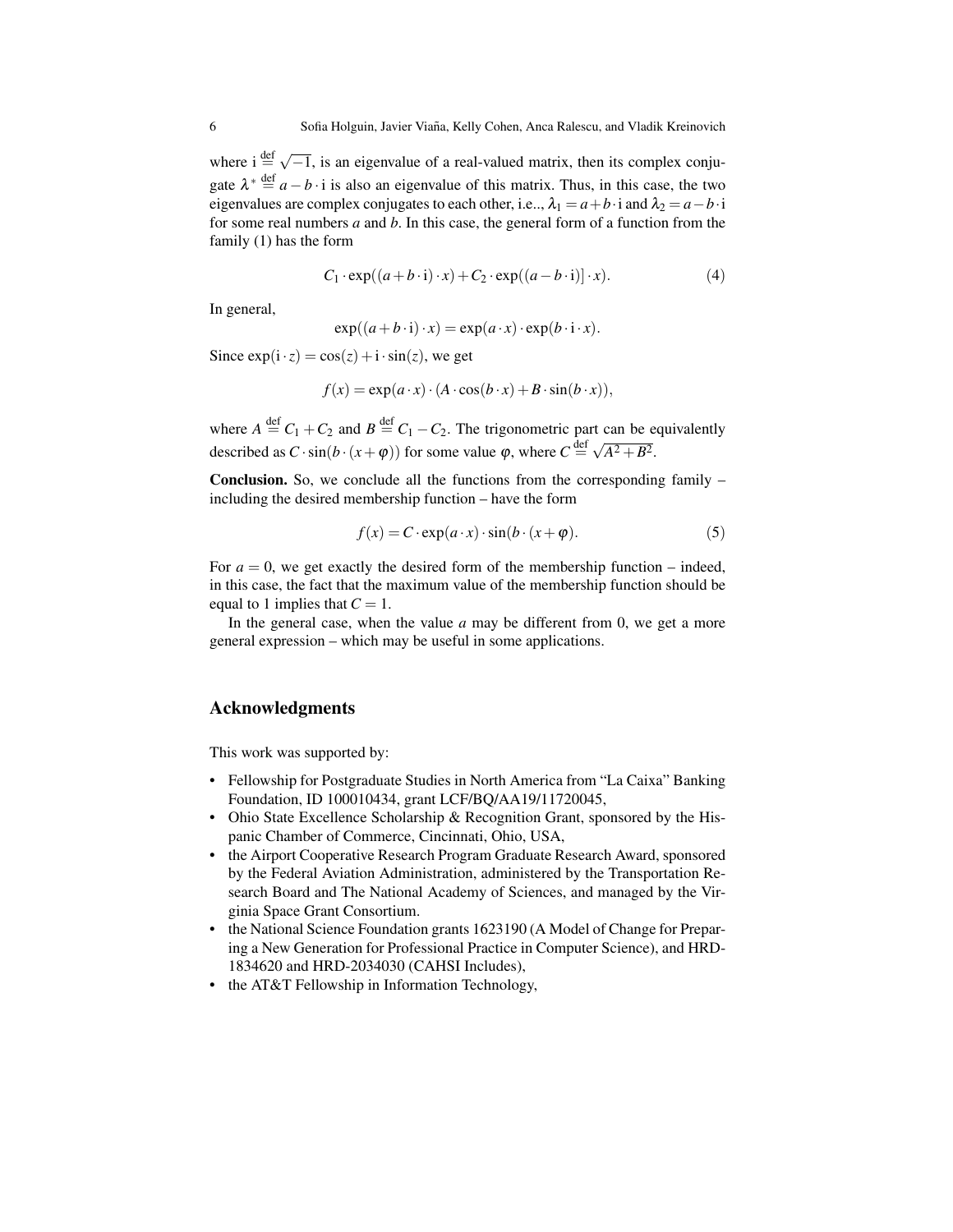where  $i \stackrel{\text{def}}{=} \sqrt{-1}$ , is an eigenvalue of a real-valued matrix, then its complex conjugate  $\lambda^* \stackrel{\text{def}}{=} a - b \cdot i$  is also an eigenvalue of this matrix. Thus, in this case, the two eigenvalues are complex conjugates to each other, i.e.,  $\lambda_1 = a + b \cdot i$  and  $\lambda_2 = a - b \cdot i$ for some real numbers *a* and *b*. In this case, the general form of a function from the family (1) has the form

$$
C_1 \cdot \exp((a+b\cdot i)\cdot x) + C_2 \cdot \exp((a-b\cdot i)]\cdot x). \tag{4}
$$

In general,

$$
\exp((a+b\cdot i)\cdot x) = \exp(a\cdot x)\cdot \exp(b\cdot i\cdot x).
$$

Since  $exp(i \cdot z) = cos(z) + i \cdot sin(z)$ , we get

$$
f(x) = \exp(a \cdot x) \cdot (A \cdot \cos(b \cdot x) + B \cdot \sin(b \cdot x)),
$$

where  $A \stackrel{\text{def}}{=} C_1 + C_2$  and  $B \stackrel{\text{def}}{=} C_1 - C_2$ . The trigonometric part can be equivalently described as  $C \cdot \sin(b \cdot (x + \varphi))$  for some value  $\varphi$ , where  $C \stackrel{\text{def}}{=} \sqrt{A^2 + B^2}$ .

Conclusion. So, we conclude all the functions from the corresponding family including the desired membership function – have the form

$$
f(x) = C \cdot \exp(a \cdot x) \cdot \sin(b \cdot (x + \varphi)).
$$
 (5)

For  $a = 0$ , we get exactly the desired form of the membership function – indeed, in this case, the fact that the maximum value of the membership function should be equal to 1 implies that  $C = 1$ .

In the general case, when the value *a* may be different from 0, we get a more general expression – which may be useful in some applications.

#### Acknowledgments

This work was supported by:

- Fellowship for Postgraduate Studies in North America from "La Caixa" Banking Foundation, ID 100010434, grant LCF/BQ/AA19/11720045,
- Ohio State Excellence Scholarship & Recognition Grant, sponsored by the Hispanic Chamber of Commerce, Cincinnati, Ohio, USA,
- the Airport Cooperative Research Program Graduate Research Award, sponsored by the Federal Aviation Administration, administered by the Transportation Research Board and The National Academy of Sciences, and managed by the Virginia Space Grant Consortium.
- the National Science Foundation grants 1623190 (A Model of Change for Preparing a New Generation for Professional Practice in Computer Science), and HRD-1834620 and HRD-2034030 (CAHSI Includes),
- the AT&T Fellowship in Information Technology,